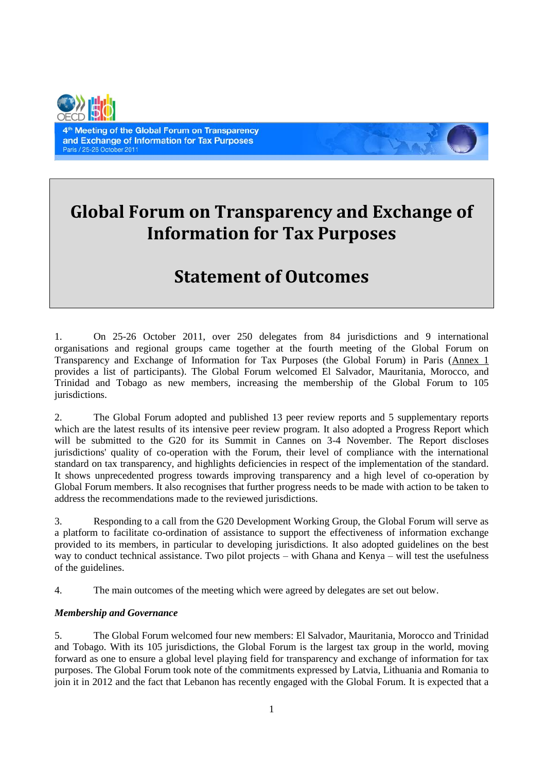

4<sup>th</sup> Meeting of the Global Forum on Transparency and Exchange of Information for Tax Purposes Paris / 25-26 October 2011

# **Global Forum on Transparency and Exchange of Information for Tax Purposes**

## **Statement of Outcomes**

1. On 25-26 October 2011, over 250 delegates from 84 jurisdictions and 9 international organisations and regional groups came together at the fourth meeting of the Global Forum on Transparency and Exchange of Information for Tax Purposes (the Global Forum) in Paris (Annex 1 provides a list of participants). The Global Forum welcomed El Salvador, Mauritania, Morocco, and Trinidad and Tobago as new members, increasing the membership of the Global Forum to 105 jurisdictions.

2. The Global Forum adopted and published 13 peer review reports and 5 supplementary reports which are the latest results of its intensive peer review program. It also adopted a Progress Report which will be submitted to the G20 for its Summit in Cannes on 3-4 November. The Report discloses jurisdictions' quality of co-operation with the Forum, their level of compliance with the international standard on tax transparency, and highlights deficiencies in respect of the implementation of the standard. It shows unprecedented progress towards improving transparency and a high level of co-operation by Global Forum members. It also recognises that further progress needs to be made with action to be taken to address the recommendations made to the reviewed jurisdictions.

3. Responding to a call from the G20 Development Working Group, the Global Forum will serve as a platform to facilitate co-ordination of assistance to support the effectiveness of information exchange provided to its members, in particular to developing jurisdictions. It also adopted guidelines on the best way to conduct technical assistance. Two pilot projects – with Ghana and Kenya – will test the usefulness of the guidelines.

4. The main outcomes of the meeting which were agreed by delegates are set out below.

#### *Membership and Governance*

5. The Global Forum welcomed four new members: El Salvador, Mauritania, Morocco and Trinidad and Tobago. With its 105 jurisdictions, the Global Forum is the largest tax group in the world, moving forward as one to ensure a global level playing field for transparency and exchange of information for tax purposes. The Global Forum took note of the commitments expressed by Latvia, Lithuania and Romania to join it in 2012 and the fact that Lebanon has recently engaged with the Global Forum. It is expected that a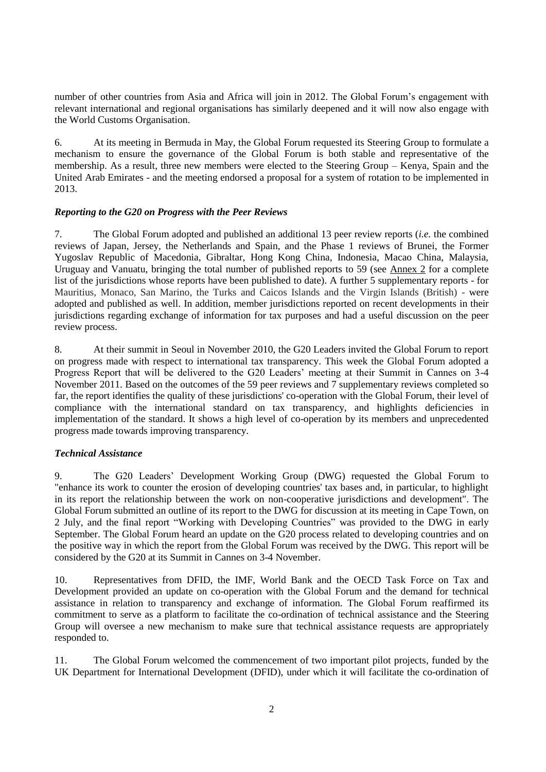number of other countries from Asia and Africa will join in 2012. The Global Forum's engagement with relevant international and regional organisations has similarly deepened and it will now also engage with the World Customs Organisation.

6. At its meeting in Bermuda in May, the Global Forum requested its Steering Group to formulate a mechanism to ensure the governance of the Global Forum is both stable and representative of the membership. As a result, three new members were elected to the Steering Group – Kenya, Spain and the United Arab Emirates - and the meeting endorsed a proposal for a system of rotation to be implemented in 2013.

#### *Reporting to the G20 on Progress with the Peer Reviews*

7. The Global Forum adopted and published an additional 13 peer review reports (*i.e.* the combined reviews of Japan, Jersey, the Netherlands and Spain, and the Phase 1 reviews of Brunei, the Former Yugoslav Republic of Macedonia, Gibraltar, Hong Kong China, Indonesia, Macao China, Malaysia, Uruguay and Vanuatu, bringing the total number of published reports to 59 (see Annex 2 for a complete list of the jurisdictions whose reports have been published to date). A further 5 supplementary reports - for Mauritius, Monaco, San Marino, the Turks and Caicos Islands and the Virgin Islands (British) - were adopted and published as well. In addition, member jurisdictions reported on recent developments in their jurisdictions regarding exchange of information for tax purposes and had a useful discussion on the peer review process.

8. At their summit in Seoul in November 2010, the G20 Leaders invited the Global Forum to report on progress made with respect to international tax transparency. This week the Global Forum adopted a Progress Report that will be delivered to the G20 Leaders' meeting at their Summit in Cannes on 3-4 November 2011. Based on the outcomes of the 59 peer reviews and 7 supplementary reviews completed so far, the report identifies the quality of these jurisdictions' co-operation with the Global Forum, their level of compliance with the international standard on tax transparency, and highlights deficiencies in implementation of the standard. It shows a high level of co-operation by its members and unprecedented progress made towards improving transparency.

#### *Technical Assistance*

9. The G20 Leaders' Development Working Group (DWG) requested the Global Forum to "enhance its work to counter the erosion of developing countries' tax bases and, in particular, to highlight in its report the relationship between the work on non-cooperative jurisdictions and development". The Global Forum submitted an outline of its report to the DWG for discussion at its meeting in Cape Town, on 2 July, and the final report "Working with Developing Countries" was provided to the DWG in early September. The Global Forum heard an update on the G20 process related to developing countries and on the positive way in which the report from the Global Forum was received by the DWG. This report will be considered by the G20 at its Summit in Cannes on 3-4 November.

10. Representatives from DFID, the IMF, World Bank and the OECD Task Force on Tax and Development provided an update on co-operation with the Global Forum and the demand for technical assistance in relation to transparency and exchange of information. The Global Forum reaffirmed its commitment to serve as a platform to facilitate the co-ordination of technical assistance and the Steering Group will oversee a new mechanism to make sure that technical assistance requests are appropriately responded to.

11. The Global Forum welcomed the commencement of two important pilot projects, funded by the UK Department for International Development (DFID), under which it will facilitate the co-ordination of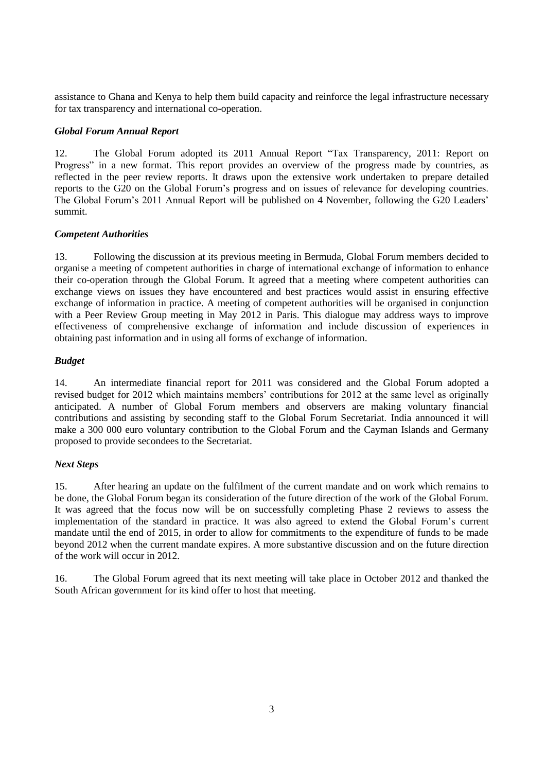assistance to Ghana and Kenya to help them build capacity and reinforce the legal infrastructure necessary for tax transparency and international co-operation.

#### *Global Forum Annual Report*

12. The Global Forum adopted its 2011 Annual Report "Tax Transparency, 2011: Report on Progress" in a new format. This report provides an overview of the progress made by countries, as reflected in the peer review reports. It draws upon the extensive work undertaken to prepare detailed reports to the G20 on the Global Forum's progress and on issues of relevance for developing countries. The Global Forum's 2011 Annual Report will be published on 4 November, following the G20 Leaders' summit.

#### *Competent Authorities*

13. Following the discussion at its previous meeting in Bermuda, Global Forum members decided to organise a meeting of competent authorities in charge of international exchange of information to enhance their co-operation through the Global Forum. It agreed that a meeting where competent authorities can exchange views on issues they have encountered and best practices would assist in ensuring effective exchange of information in practice. A meeting of competent authorities will be organised in conjunction with a Peer Review Group meeting in May 2012 in Paris. This dialogue may address ways to improve effectiveness of comprehensive exchange of information and include discussion of experiences in obtaining past information and in using all forms of exchange of information.

#### *Budget*

14. An intermediate financial report for 2011 was considered and the Global Forum adopted a revised budget for 2012 which maintains members' contributions for 2012 at the same level as originally anticipated. A number of Global Forum members and observers are making voluntary financial contributions and assisting by seconding staff to the Global Forum Secretariat. India announced it will make a 300 000 euro voluntary contribution to the Global Forum and the Cayman Islands and Germany proposed to provide secondees to the Secretariat.

#### *Next Steps*

15. After hearing an update on the fulfilment of the current mandate and on work which remains to be done, the Global Forum began its consideration of the future direction of the work of the Global Forum. It was agreed that the focus now will be on successfully completing Phase 2 reviews to assess the implementation of the standard in practice. It was also agreed to extend the Global Forum's current mandate until the end of 2015, in order to allow for commitments to the expenditure of funds to be made beyond 2012 when the current mandate expires. A more substantive discussion and on the future direction of the work will occur in 2012.

16. The Global Forum agreed that its next meeting will take place in October 2012 and thanked the South African government for its kind offer to host that meeting.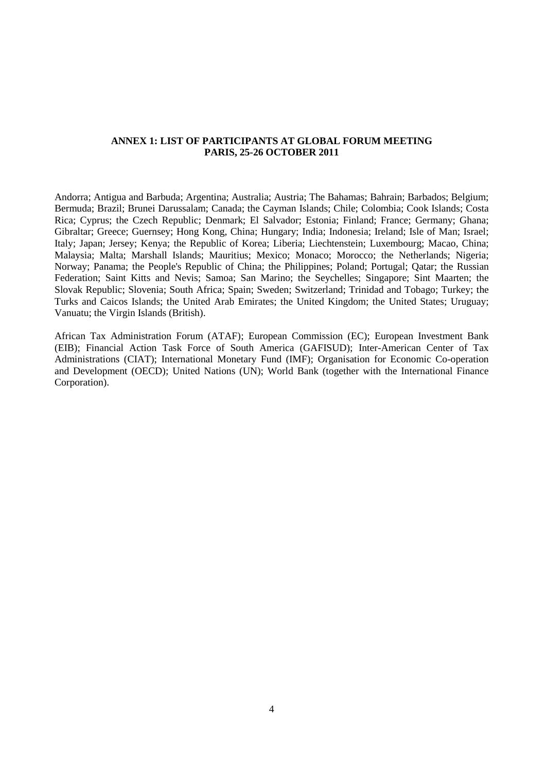#### **ANNEX 1: LIST OF PARTICIPANTS AT GLOBAL FORUM MEETING PARIS, 25-26 OCTOBER 2011**

Andorra; Antigua and Barbuda; Argentina; Australia; Austria; The Bahamas; Bahrain; Barbados; Belgium; Bermuda; Brazil; Brunei Darussalam; Canada; the Cayman Islands; Chile; Colombia; Cook Islands; Costa Rica; Cyprus; the Czech Republic; Denmark; El Salvador; Estonia; Finland; France; Germany; Ghana; Gibraltar; Greece; Guernsey; Hong Kong, China; Hungary; India; Indonesia; Ireland; Isle of Man; Israel; Italy; Japan; Jersey; Kenya; the Republic of Korea; Liberia; Liechtenstein; Luxembourg; Macao, China; Malaysia; Malta; Marshall Islands; Mauritius; Mexico; Monaco; Morocco; the Netherlands; Nigeria; Norway; Panama; the People's Republic of China; the Philippines; Poland; Portugal; Qatar; the Russian Federation; Saint Kitts and Nevis; Samoa; San Marino; the Seychelles; Singapore; Sint Maarten; the Slovak Republic; Slovenia; South Africa; Spain; Sweden; Switzerland; Trinidad and Tobago; Turkey; the Turks and Caicos Islands; the United Arab Emirates; the United Kingdom; the United States; Uruguay; Vanuatu; the Virgin Islands (British).

African Tax Administration Forum (ATAF); European Commission (EC); European Investment Bank (EIB); Financial Action Task Force of South America (GAFISUD); Inter-American Center of Tax Administrations (CIAT); International Monetary Fund (IMF); Organisation for Economic Co-operation and Development (OECD); United Nations (UN); World Bank (together with the International Finance Corporation).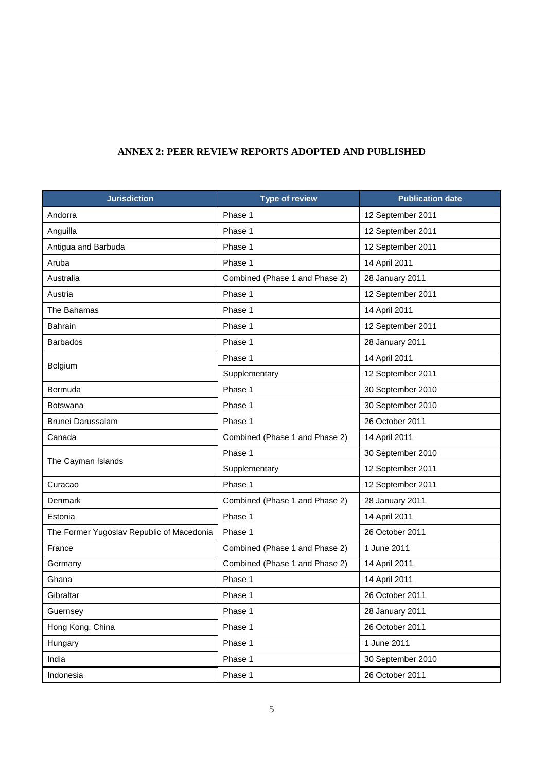### **ANNEX 2: PEER REVIEW REPORTS ADOPTED AND PUBLISHED**

| <b>Jurisdiction</b>                       | <b>Type of review</b>          | <b>Publication date</b> |
|-------------------------------------------|--------------------------------|-------------------------|
| Andorra                                   | Phase 1                        | 12 September 2011       |
| Anguilla                                  | Phase 1                        | 12 September 2011       |
| Antigua and Barbuda                       | Phase 1                        | 12 September 2011       |
| Aruba                                     | Phase 1                        | 14 April 2011           |
| Australia                                 | Combined (Phase 1 and Phase 2) | 28 January 2011         |
| Austria                                   | Phase 1                        | 12 September 2011       |
| The Bahamas                               | Phase 1                        | 14 April 2011           |
| <b>Bahrain</b>                            | Phase 1                        | 12 September 2011       |
| <b>Barbados</b>                           | Phase 1                        | 28 January 2011         |
| Belgium                                   | Phase 1                        | 14 April 2011           |
|                                           | Supplementary                  | 12 September 2011       |
| Bermuda                                   | Phase 1                        | 30 September 2010       |
| Botswana                                  | Phase 1                        | 30 September 2010       |
| Brunei Darussalam                         | Phase 1                        | 26 October 2011         |
| Canada                                    | Combined (Phase 1 and Phase 2) | 14 April 2011           |
| The Cayman Islands                        | Phase 1                        | 30 September 2010       |
|                                           | Supplementary                  | 12 September 2011       |
| Curacao                                   | Phase 1                        | 12 September 2011       |
| Denmark                                   | Combined (Phase 1 and Phase 2) | 28 January 2011         |
| Estonia                                   | Phase 1                        | 14 April 2011           |
| The Former Yugoslav Republic of Macedonia | Phase 1                        | 26 October 2011         |
| France                                    | Combined (Phase 1 and Phase 2) | 1 June 2011             |
| Germany                                   | Combined (Phase 1 and Phase 2) | 14 April 2011           |
| Ghana                                     | Phase 1                        | 14 April 2011           |
| Gibraltar                                 | Phase 1                        | 26 October 2011         |
| Guernsey                                  | Phase 1                        | 28 January 2011         |
| Hong Kong, China                          | Phase 1                        | 26 October 2011         |
| Hungary                                   | Phase 1                        | 1 June 2011             |
| India                                     | Phase 1                        | 30 September 2010       |
| Indonesia                                 | Phase 1                        | 26 October 2011         |